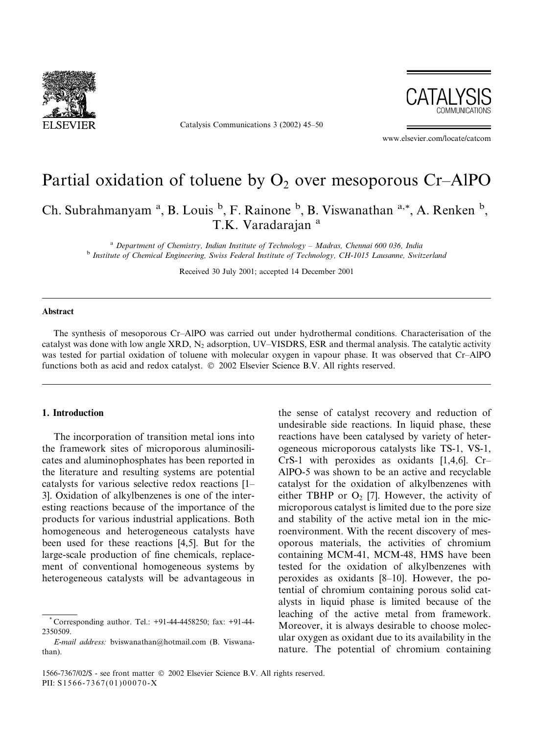

Catalysis Communications 3 (2002) 45–50



www.elsevier.com/locate/catcom

# Partial oxidation of toluene by  $O_2$  over mesoporous Cr–AlPO

Ch. Subrahmanyam<sup>a</sup>, B. Louis<sup>b</sup>, F. Rainone<sup>b</sup>, B. Viswanathan<sup>a,\*</sup>, A. Renken<sup>b</sup>, T.K. Varadarajan<sup>a</sup>

 $a$  Department of Chemistry, Indian Institute of Technology – Madras, Chennai 600 036, India <sup>b</sup> Institute of Chemical Engineering, Swiss Federal Institute of Technology, CH-1015 Lausanne, Switzerland

Received 30 July 2001; accepted 14 December 2001

## Abstract

The synthesis of mesoporous Cr–AlPO was carried out under hydrothermal conditions. Characterisation of the catalyst was done with low angle XRD,  $N_2$  adsorption, UV–VISDRS, ESR and thermal analysis. The catalytic activity was tested for partial oxidation of toluene with molecular oxygen in vapour phase. It was observed that Cr–AlPO functions both as acid and redox catalyst.  $© 2002$  Elsevier Science B.V. All rights reserved.

## 1. Introduction

The incorporation of transition metal ions into the framework sites of microporous aluminosilicates and aluminophosphates has been reported in the literature and resulting systems are potential catalysts for various selective redox reactions [1– 3]. Oxidation of alkylbenzenes is one of the interesting reactions because of the importance of the products for various industrial applications. Both homogeneous and heterogeneous catalysts have been used for these reactions [4,5]. But for the large-scale production of fine chemicals, replacement of conventional homogeneous systems by heterogeneous catalysts will be advantageous in

the sense of catalyst recovery and reduction of undesirable side reactions. In liquid phase, these reactions have been catalysed by variety of heterogeneous microporous catalysts like TS-1, VS-1, CrS-1 with peroxides as oxidants [1,4,6]. Cr– AlPO-5 was shown to be an active and recyclable catalyst for the oxidation of alkylbenzenes with either TBHP or  $O_2$  [7]. However, the activity of microporous catalyst is limited due to the pore size and stability of the active metal ion in the microenvironment. With the recent discovery of mesoporous materials, the activities of chromium containing MCM-41, MCM-48, HMS have been tested for the oxidation of alkylbenzenes with peroxides as oxidants [8–10]. However, the potential of chromium containing porous solid catalysts in liquid phase is limited because of the leaching of the active metal from framework. Moreover, it is always desirable to choose molecular oxygen as oxidant due to its availability in the nature. The potential of chromium containing

<sup>\*</sup> Corresponding author. Tel.: +91-44-4458250; fax: +91-44- 2350509.

E-mail address: bviswanathan@hotmail.com (B. Viswanathan).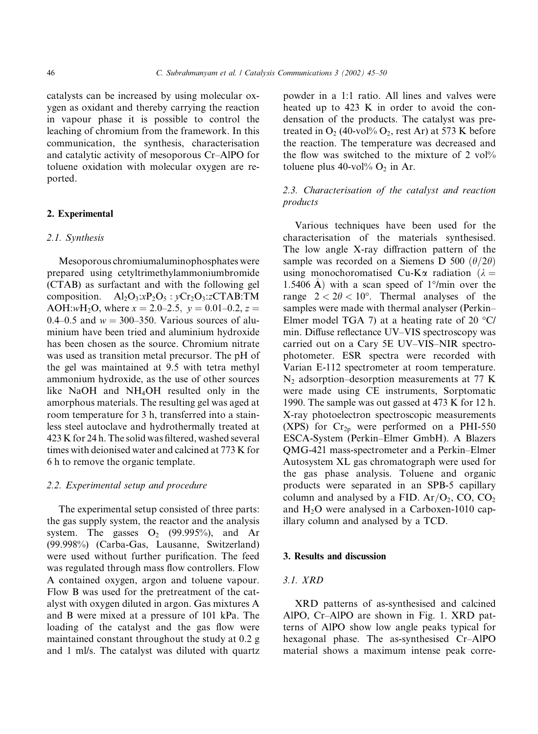catalysts can be increased by using molecular oxygen as oxidant and thereby carrying the reaction in vapour phase it is possible to control the leaching of chromium from the framework. In this communication, the synthesis, characterisation and catalytic activity of mesoporous Cr–AlPO for toluene oxidation with molecular oxygen are reported.

#### 2. Experimental

#### 2.1. Synthesis

Mesoporous chromiumaluminophosphates were prepared using cetyltrimethylammoniumbromide (CTAB) as surfactant and with the following gel composition.  $Al_2O_3:xP_2O_5: yCr_2O_3:zCTAB:TM$ AOH:wH<sub>2</sub>O, where  $x = 2.0-2.5$ ,  $y = 0.01-0.2$ ,  $z =$ 0.4–0.5 and  $w = 300-350$ . Various sources of aluminium have been tried and aluminium hydroxide has been chosen as the source. Chromium nitrate was used as transition metal precursor. The pH of the gel was maintained at 9.5 with tetra methyl ammonium hydroxide, as the use of other sources like NaOH and NH4OH resulted only in the amorphous materials. The resulting gel was aged at room temperature for 3 h, transferred into a stainless steel autoclave and hydrothermally treated at 423 K for 24 h. The solid was filtered, washed several times with deionised water and calcined at 773 K for 6 h to remove the organic template.

## 2.2. Experimental setup and procedure

The experimental setup consisted of three parts: the gas supply system, the reactor and the analysis system. The gasses  $O_2$  (99.995%), and Ar (99.998%) (Carba-Gas, Lausanne, Switzerland) were used without further purification. The feed was regulated through mass flow controllers. Flow A contained oxygen, argon and toluene vapour. Flow B was used for the pretreatment of the catalyst with oxygen diluted in argon. Gas mixtures A and B were mixed at a pressure of 101 kPa. The loading of the catalyst and the gas flow were maintained constant throughout the study at 0.2 g and 1 ml/s. The catalyst was diluted with quartz powder in a 1:1 ratio. All lines and valves were heated up to 423 K in order to avoid the condensation of the products. The catalyst was pretreated in  $O_2$  (40-vol%  $O_2$ , rest Ar) at 573 K before the reaction. The temperature was decreased and the flow was switched to the mixture of  $2 \text{ vol} \%$ toluene plus 40-vol $\%$  O<sub>2</sub> in Ar.

# 2.3. Characterisation of the catalyst and reaction products

Various techniques have been used for the characterisation of the materials synthesised. The low angle X-ray diffraction pattern of the sample was recorded on a Siemens D 500  $(\theta/2\theta)$ using monochoromatised Cu-K $\alpha$  radiation ( $\lambda =$ 1.5406 Å) with a scan speed of  $1^{\circ}/$ min over the range  $2 < 2\theta < 10^{\circ}$ . Thermal analyses of the samples were made with thermal analyser (Perkin– Elmer model TGA 7) at a heating rate of 20  $\degree$ C/ min. Diffuse reflectance UV–VIS spectroscopy was carried out on a Cary 5E UV–VIS–NIR spectrophotometer. ESR spectra were recorded with Varian E-112 spectrometer at room temperature.  $N_2$  adsorption–desorption measurements at 77 K were made using CE instruments, Sorptomatic 1990. The sample was out gassed at 473 K for 12 h. X-ray photoelectron spectroscopic measurements (XPS) for  $Cr_{2p}$  were performed on a PHI-550 ESCA-System (Perkin–Elmer GmbH). A Blazers QMG-421 mass-spectrometer and a Perkin–Elmer Autosystem XL gas chromatograph were used for the gas phase analysis. Toluene and organic products were separated in an SPB-5 capillary column and analysed by a FID.  $Ar/O<sub>2</sub>$ , CO, CO<sub>2</sub> and  $H<sub>2</sub>O$  were analysed in a Carboxen-1010 capillary column and analysed by a TCD.

## 3. Results and discussion

# 3.1. XRD

XRD patterns of as-synthesised and calcined AlPO, Cr–AlPO are shown in Fig. 1. XRD patterns of AlPO show low angle peaks typical for hexagonal phase. The as-synthesised Cr–AlPO material shows a maximum intense peak corre-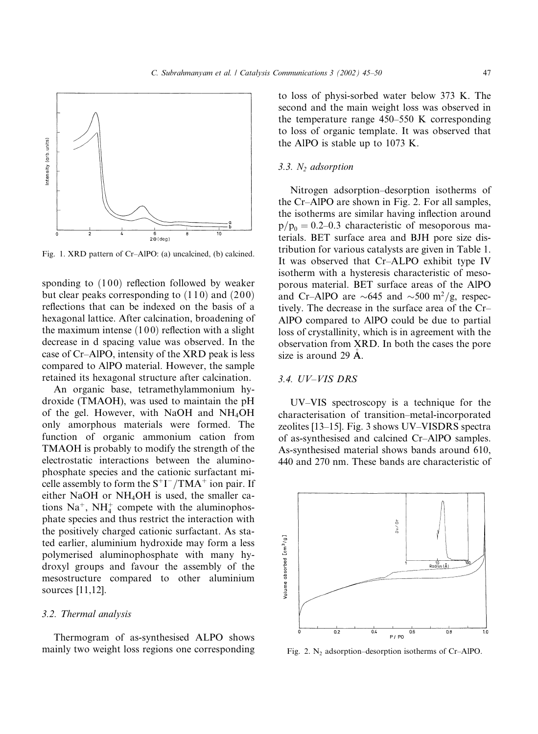

Fig. 1. XRD pattern of Cr–AlPO: (a) uncalcined, (b) calcined.

sponding to  $(100)$  reflection followed by weaker but clear peaks corresponding to  $(110)$  and  $(200)$ reflections that can be indexed on the basis of a hexagonal lattice. After calcination, broadening of the maximum intense  $(100)$  reflection with a slight decrease in d spacing value was observed. In the case of Cr–AlPO, intensity of the XRD peak is less compared to AlPO material. However, the sample retained its hexagonal structure after calcination.

An organic base, tetramethylammonium hydroxide (TMAOH), was used to maintain the pH of the gel. However, with NaOH and NH4OH only amorphous materials were formed. The function of organic ammonium cation from TMAOH is probably to modify the strength of the electrostatic interactions between the aluminophosphate species and the cationic surfactant micelle assembly to form the  $S^+I^-/TMA^+$  ion pair. If either NaOH or NH4OH is used, the smaller cations  $Na^+$ ,  $NH_4^+$  compete with the aluminophosphate species and thus restrict the interaction with the positively charged cationic surfactant. As stated earlier, aluminium hydroxide may form a less polymerised aluminophosphate with many hydroxyl groups and favour the assembly of the mesostructure compared to other aluminium sources [11,12].

## 3.2. Thermal analysis

Thermogram of as-synthesised ALPO shows mainly two weight loss regions one corresponding to loss of physi-sorbed water below 373 K. The second and the main weight loss was observed in the temperature range 450–550 K corresponding to loss of organic template. It was observed that the AlPO is stable up to 1073 K.

## $3.3. N<sub>2</sub>$  adsorption

Nitrogen adsorption–desorption isotherms of the Cr–AlPO are shown in Fig. 2. For all samples, the isotherms are similar having inflection around  $p/p_0 = 0.2{\text -}0.3$  characteristic of mesoporous materials. BET surface area and BJH pore size distribution for various catalysts are given in Table 1. It was observed that Cr–ALPO exhibit type IV isotherm with a hysteresis characteristic of mesoporous material. BET surface areas of the AlPO and Cr–AlPO are  $\sim 645$  and  $\sim 500$  m<sup>2</sup>/g, respectively. The decrease in the surface area of the Cr– AlPO compared to AlPO could be due to partial loss of crystallinity, which is in agreement with the observation from XRD. In both the cases the pore size is around 29  $\AA$ .

## 3.4. UV–VIS DRS

UV–VIS spectroscopy is a technique for the characterisation of transition–metal-incorporated zeolites [13–15]. Fig. 3 shows UV–VISDRS spectra of as-synthesised and calcined Cr–AlPO samples. As-synthesised material shows bands around 610, 440 and 270 nm. These bands are characteristic of



Fig. 2.  $N_2$  adsorption–desorption isotherms of Cr–AlPO.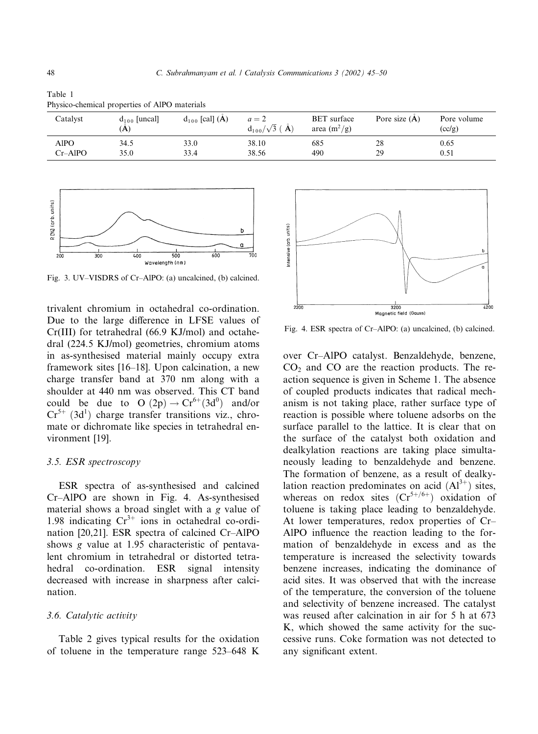|               | I hysico chemical properties of Tim O materials |                     |                                  |                                      |                 |                       |  |  |
|---------------|-------------------------------------------------|---------------------|----------------------------------|--------------------------------------|-----------------|-----------------------|--|--|
| Catalyst      | $d_{100}$ [uncal]<br>(A)                        | $d_{100}$ [cal] (A) | $a=2$<br>$d_{100}/\sqrt{3}$ ( Å) | <b>BET</b> surface<br>area $(m^2/g)$ | Pore size $(A)$ | Pore volume<br>(cc/g) |  |  |
| AlPO          | 34.5                                            | 33.0                | 38.10                            | 685                                  | 28              | 0.65                  |  |  |
| $Cr-A$ l $PO$ | 35.0                                            | 33.4                | 38.56                            | 490                                  | 29              | 0.51                  |  |  |

Table 1 Physico-chemical properties of AlPO materials



Fig. 3. UV–VISDRS of Cr–AlPO: (a) uncalcined, (b) calcined.

trivalent chromium in octahedral co-ordination. Due to the large difference in LFSE values of Cr(III) for tetrahedral (66.9 KJ/mol) and octahedral (224.5 KJ/mol) geometries, chromium atoms in as-synthesised material mainly occupy extra framework sites [16–18]. Upon calcination, a new charge transfer band at 370 nm along with a shoulder at 440 nm was observed. This CT band could be due to  $O(2p) \rightarrow Cr^{6+}(3d^0)$  and/or  $Cr^{5+}$  (3d<sup>1</sup>) charge transfer transitions viz., chromate or dichromate like species in tetrahedral environment [19].

#### 3.5. ESR spectroscopy

ESR spectra of as-synthesised and calcined Cr–AlPO are shown in Fig. 4. As-synthesised material shows a broad singlet with a g value of 1.98 indicating  $Cr^{3+}$  ions in octahedral co-ordination  $[20,21]$ . ESR spectra of calcined Cr–AlPO shows g value at 1.95 characteristic of pentavalent chromium in tetrahedral or distorted tetrahedral co-ordination. ESR signal intensity decreased with increase in sharpness after calcination.

#### 3.6. Catalytic activity

Table 2 gives typical results for the oxidation of toluene in the temperature range 523–648 K



Fig. 4. ESR spectra of Cr–AlPO: (a) uncalcined, (b) calcined.

over Cr–AlPO catalyst. Benzaldehyde, benzene,  $CO<sub>2</sub>$  and CO are the reaction products. The reaction sequence is given in Scheme 1. The absence of coupled products indicates that radical mechanism is not taking place, rather surface type of reaction is possible where toluene adsorbs on the surface parallel to the lattice. It is clear that on the surface of the catalyst both oxidation and dealkylation reactions are taking place simultaneously leading to benzaldehyde and benzene. The formation of benzene, as a result of dealkylation reaction predominates on acid  $(A1^{3+})$  sites, whereas on redox sites  $(Cr^{5+/6+})$  oxidation of toluene is taking place leading to benzaldehyde. At lower temperatures, redox properties of Cr– AlPO influence the reaction leading to the formation of benzaldehyde in excess and as the temperature is increased the selectivity towards benzene increases, indicating the dominance of acid sites. It was observed that with the increase of the temperature, the conversion of the toluene and selectivity of benzene increased. The catalyst was reused after calcination in air for 5 h at 673 K, which showed the same activity for the successive runs. Coke formation was not detected to any significant extent.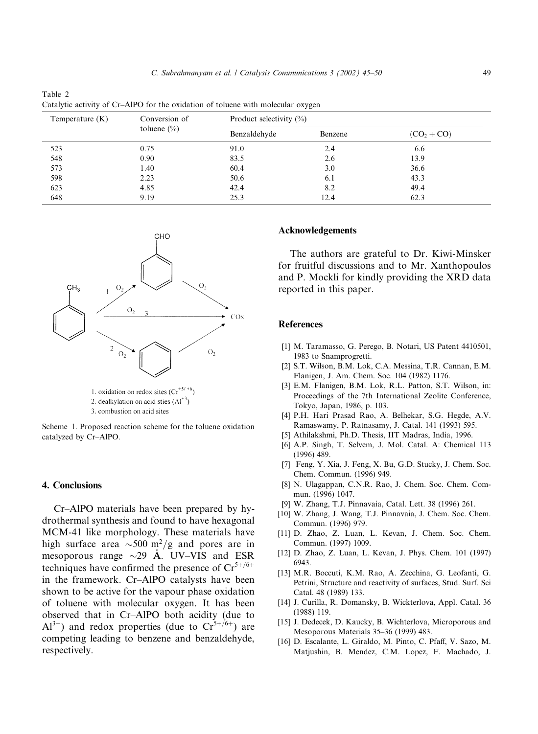| Temperature $(K)$ | Conversion of   | Product selectivity $(\%)$ |         |               |  |
|-------------------|-----------------|----------------------------|---------|---------------|--|
|                   | toluene $(\% )$ | Benzaldehyde               | Benzene | $(CO_2 + CO)$ |  |
| 523               | 0.75            | 91.0                       | 2.4     | 6.6           |  |
| 548               | 0.90            | 83.5                       | 2.6     | 13.9          |  |
| 573               | 1.40            | 60.4                       | 3.0     | 36.6          |  |
| 598               | 2.23            | 50.6                       | 6.1     | 43.3          |  |
| 623               | 4.85            | 42.4                       | 8.2     | 49.4          |  |
| 648               | 9.19            | 25.3                       | 12.4    | 62.3          |  |



1. oxidation on redox sites  $(Cr^{+5/+6})$ 2. dealkylation on acid sties  $(A1^{+3})$ 

3. combustion on acid sites

Scheme 1. Proposed reaction scheme for the toluene oxidation catalyzed by Cr–AlPO.

#### 4. Conclusions

Table 2

Cr–AlPO materials have been prepared by hydrothermal synthesis and found to have hexagonal MCM-41 like morphology. These materials have high surface area  $\sim$ 500 m<sup>2</sup>/g and pores are in mesoporous range  $\sim$ 29 Å. UV–VIS and ESR techniques have confirmed the presence of  $Cr^{5+/6+}$ in the framework. Cr–AlPO catalysts have been shown to be active for the vapour phase oxidation of toluene with molecular oxygen. It has been observed that in Cr–AlPO both acidity (due to  $Al^{3+}$ ) and redox properties (due to  $Cr^{5+/6+}$ ) are competing leading to benzene and benzaldehyde, respectively.

# Acknowledgements

The authors are grateful to Dr. Kiwi-Minsker for fruitful discussions and to Mr. Xanthopoulos and P. Mockli for kindly providing the XRD data reported in this paper.

#### References

- [1] M. Taramasso, G. Perego, B. Notari, US Patent 4410501, 1983 to Snamprogretti.
- [2] S.T. Wilson, B.M. Lok, C.A. Messina, T.R. Cannan, E.M. Flanigen, J. Am. Chem. Soc. 104 (1982) 1176.
- [3] E.M. Flanigen, B.M. Lok, R.L. Patton, S.T. Wilson, in: Proceedings of the 7th International Zeolite Conference, Tokyo, Japan, 1986, p. 103.
- [4] P.H. Hari Prasad Rao, A. Belhekar, S.G. Hegde, A.V. Ramaswamy, P. Ratnasamy, J. Catal. 141 (1993) 595.
- [5] Athilakshmi, Ph.D. Thesis, IIT Madras, India, 1996.
- [6] A.P. Singh, T. Selvem, J. Mol. Catal. A: Chemical 113 (1996) 489.
- [7] Feng, Y. Xia, J. Feng, X. Bu, G.D. Stucky, J. Chem. Soc. Chem. Commun. (1996) 949.
- [8] N. Ulagappan, C.N.R. Rao, J. Chem. Soc. Chem. Commun. (1996) 1047.
- [9] W. Zhang, T.J. Pinnavaia, Catal. Lett. 38 (1996) 261.
- [10] W. Zhang, J. Wang, T.J. Pinnavaia, J. Chem. Soc. Chem. Commun. (1996) 979.
- [11] D. Zhao, Z. Luan, L. Kevan, J. Chem. Soc. Chem. Commun. (1997) 1009.
- [12] D. Zhao, Z. Luan, L. Kevan, J. Phys. Chem. 101 (1997) 6943.
- [13] M.R. Boccuti, K.M. Rao, A. Zecchina, G. Leofanti, G. Petrini, Structure and reactivity of surfaces, Stud. Surf. Sci Catal. 48 (1989) 133.
- [14] J. Curilla, R. Domansky, B. Wickterlova, Appl. Catal. 36 (1988) 119.
- [15] J. Dedecek, D. Kaucky, B. Wichterlova, Microporous and Mesoporous Materials 35–36 (1999) 483.
- [16] D. Escalante, L. Giraldo, M. Pinto, C. Pfaff, V. Sazo, M. Matjushin, B. Mendez, C.M. Lopez, F. Machado, J.